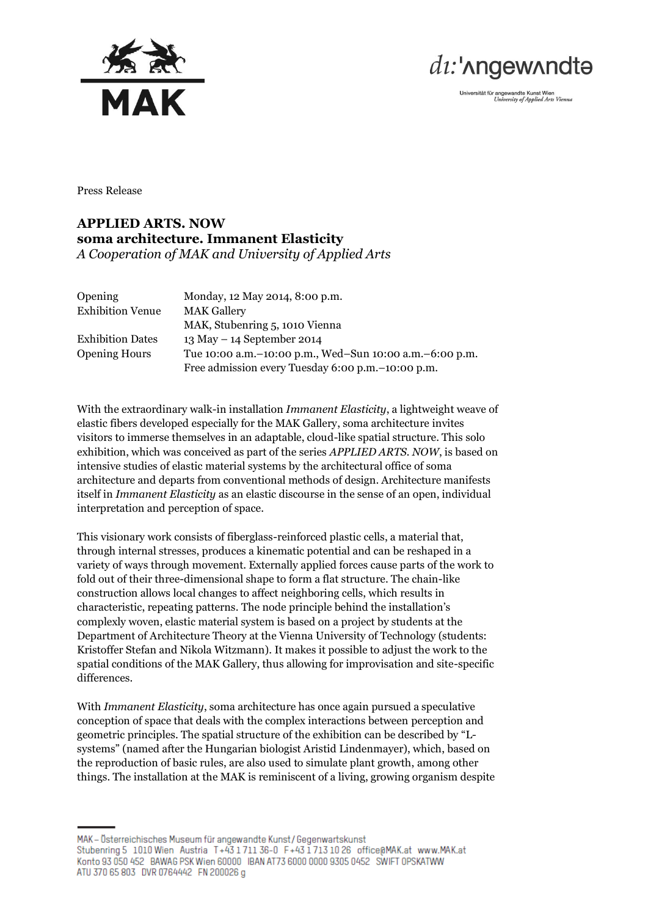



Universität für angewandte Kunst Wien<br>University of Applied Arts Vienna

Press Release

## **APPLIED ARTS. NOW soma architecture. Immanent Elasticity** *A Cooperation of MAK and University of Applied Arts*

| <b>Opening</b>          | Monday, 12 May 2014, 8:00 p.m.                              |
|-------------------------|-------------------------------------------------------------|
| <b>Exhibition Venue</b> | <b>MAK Gallery</b>                                          |
|                         | MAK, Stubenring 5, 1010 Vienna                              |
| <b>Exhibition Dates</b> | $13$ May $-14$ September 2014                               |
| <b>Opening Hours</b>    | Tue 10:00 a.m. - 10:00 p.m., Wed-Sun 10:00 a.m. - 6:00 p.m. |
|                         | Free admission every Tuesday 6:00 p.m. - 10:00 p.m.         |

With the extraordinary walk-in installation *Immanent Elasticity*, a lightweight weave of elastic fibers developed especially for the MAK Gallery, soma architecture invites visitors to immerse themselves in an adaptable, cloud-like spatial structure. This solo exhibition, which was conceived as part of the series *APPLIED ARTS. NOW*, is based on intensive studies of elastic material systems by the architectural office of soma architecture and departs from conventional methods of design. Architecture manifests itself in *Immanent Elasticity* as an elastic discourse in the sense of an open, individual interpretation and perception of space.

This visionary work consists of fiberglass-reinforced plastic cells, a material that, through internal stresses, produces a kinematic potential and can be reshaped in a variety of ways through movement. Externally applied forces cause parts of the work to fold out of their three-dimensional shape to form a flat structure. The chain-like construction allows local changes to affect neighboring cells, which results in characteristic, repeating patterns. The node principle behind the installation's complexly woven, elastic material system is based on a project by students at the Department of Architecture Theory at the Vienna University of Technology (students: Kristoffer Stefan and Nikola Witzmann). It makes it possible to adjust the work to the spatial conditions of the MAK Gallery, thus allowing for improvisation and site-specific differences.

With *Immanent Elasticity*, soma architecture has once again pursued a speculative conception of space that deals with the complex interactions between perception and geometric principles. The spatial structure of the exhibition can be described by "Lsystems" (named after the Hungarian biologist Aristid Lindenmayer), which, based on the reproduction of basic rules, are also used to simulate plant growth, among other things. The installation at the MAK is reminiscent of a living, growing organism despite

MAK - Österreichisches Museum für angewandte Kunst / Gegenwartskunst Stubenring 5 1010 Wien Austria T+431711 36-0 F+4317131026 office@MAK.at www.MAK.at Konto 93 050 452 BAWAG PSK Wien 60000 IBAN AT73 6000 0000 9305 0452 SWIFT OPSKATWW ATU 370 65 803 DVR 0764442 FN 200026 g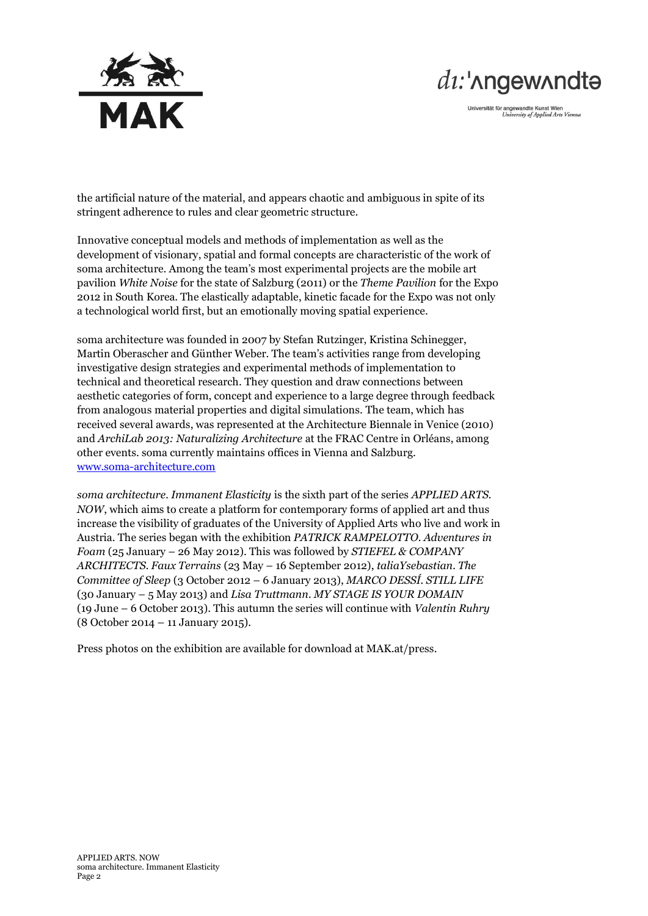



Universität für angewandte Kunst Wien<br>University of Applied Arts Vienna

the artificial nature of the material, and appears chaotic and ambiguous in spite of its stringent adherence to rules and clear geometric structure.

Innovative conceptual models and methods of implementation as well as the development of visionary, spatial and formal concepts are characteristic of the work of soma architecture. Among the team's most experimental projects are the mobile art pavilion *White Noise* for the state of Salzburg (2011) or the *Theme Pavilion* for the Expo 2012 in South Korea. The elastically adaptable, kinetic facade for the Expo was not only a technological world first, but an emotionally moving spatial experience.

soma architecture was founded in 2007 by Stefan Rutzinger, Kristina Schinegger, Martin Oberascher and Günther Weber. The team's activities range from developing investigative design strategies and experimental methods of implementation to technical and theoretical research. They question and draw connections between aesthetic categories of form, concept and experience to a large degree through feedback from analogous material properties and digital simulations. The team, which has received several awards, was represented at the Architecture Biennale in Venice (2010) and *ArchiLab 2013: Naturalizing Architecture* at the FRAC Centre in Orléans, among other events. soma currently maintains offices in Vienna and Salzburg. [www.soma-architecture.com](http://www.soma-architecture.com/)

*soma architecture. Immanent Elasticity* is the sixth part of the series *APPLIED ARTS. NOW*, which aims to create a platform for contemporary forms of applied art and thus increase the visibility of graduates of the University of Applied Arts who live and work in Austria. The series began with the exhibition *PATRICK RAMPELOTTO. Adventures in Foam* (25 January – 26 May 2012). This was followed by *STIEFEL & COMPANY ARCHITECTS. Faux Terrains* (23 May – 16 September 2012), *taliaYsebastian. The Committee of Sleep* (3 October 2012 – 6 January 2013), *MARCO DESSÍ. STILL LIFE* (30 January – 5 May 2013) and *Lisa Truttmann. MY STAGE IS YOUR DOMAIN* (19 June – 6 October 2013). This autumn the series will continue with *Valentin Ruhry* (8 October 2014 – 11 January 2015).

Press photos on the exhibition are available for download at MAK.at/press.